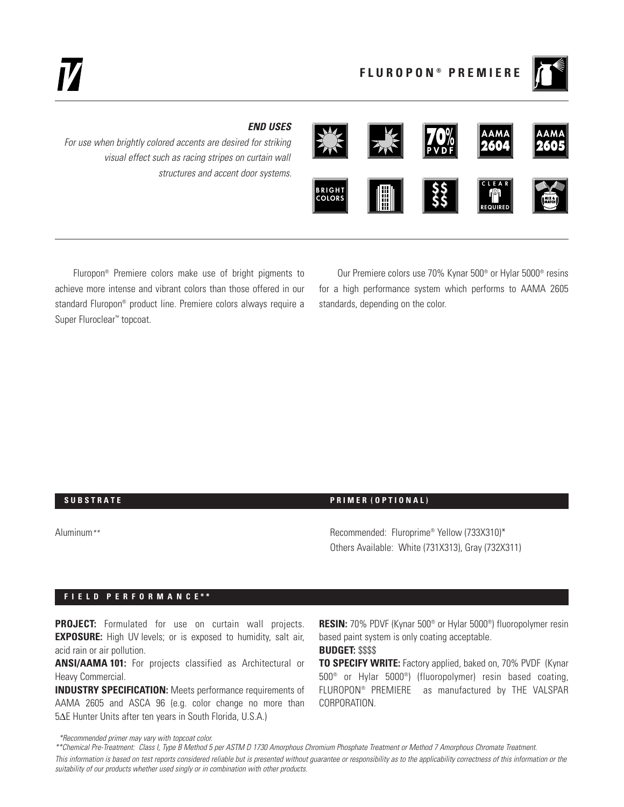

# *END USES*

*For use when brightly colored accents are desired for striking visual effect such as racing stripes on curtain wall structures and accent door systems.*



Fluropon® Premiere colors make use of bright pigments to achieve more intense and vibrant colors than those offered in our standard Fluropon® product line. Premiere colors always require a Super Fluroclear™ topcoat.

Our Premiere colors use 70% Kynar 500® or Hylar 5000® resins for a high performance system which performs to AAMA 2605 standards, depending on the color.

#### **SUBSTRATE PRIMER (OPTIONAL)**

Aluminum*\*\** Recommended: Fluroprime® Yellow (733X310)\* Others Available: White (731X313), Gray (732X311)

### **F I E L D P E R F O R M A N C E \* \***

**PROJECT:** Formulated for use on curtain wall projects. **EXPOSURE:** High UV levels; or is exposed to humidity, salt air, acid rain or air pollution.

**ANSI/AAMA 101:** For projects classified as Architectural or Heavy Commercial.

**INDUSTRY SPECIFICATION:** Meets performance requirements of AAMA 2605 and ASCA 96 (e.g. color change no more than 5∆E Hunter Units after ten years in South Florida, U.S.A.)

**RESIN:** 70% PDVF (Kynar 500® or Hylar 5000®) fluoropolymer resin based paint system is only coating acceptable.

## **BUDGET:** \$\$\$\$

**TO SPECIFY WRITE:** Factory applied, baked on, 70% PVDF (Kynar 500® or Hylar 5000®) (fluoropolymer) resin based coating, FLUROPON® PREMIERE as manufactured by THE VALSPAR CORPORATION.

*This information is based on test reports considered reliable but is presented without guarantee or responsibility as to the applicability correctness of this information or the suitability of our products whether used singly or in combination with other products.*

*<sup>\*</sup>Recommended primer may vary with topcoat color.*

*<sup>\*\*</sup>Chemical Pre-Treatment: Class I, Type B Method 5 per ASTM D 1730 Amorphous Chromium Phosphate Treatment or Method 7 Amorphous Chromate Treatment.*